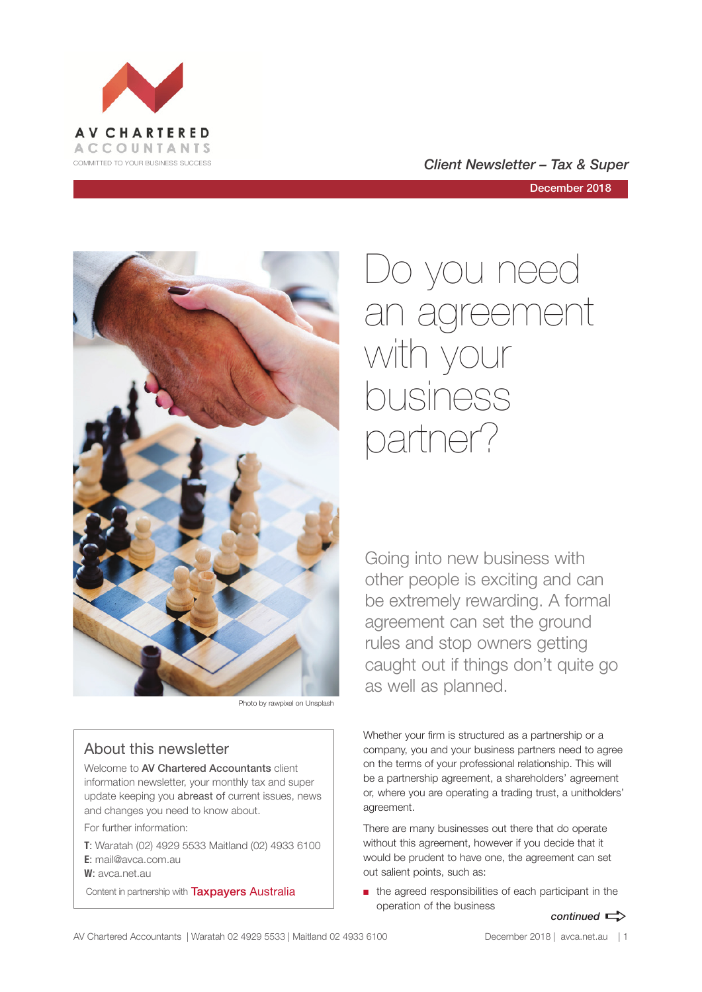

COMMITTED TO YOUR BUSINESS SUCCESS **COMMITTED TO YOUR BUSINESS SUCCESS** 

December 2018



Photo by rawpixel on Unsplash

# About this newsletter

Welcome to **AV Chartered Accountants** client information newsletter, your monthly tax and super update keeping you abreast of current issues, news and changes you need to know about.

For further information:

**T**: Waratah (02) 4929 5533 Maitland (02) 4933 6100 **E**: mail@avca.com.au

**W**: avca.net.au

Content in partnership with **Taxpayers Australia** 

# Do you need an agreement with your business partner?

Going into new business with other people is exciting and can be extremely rewarding. A formal agreement can set the ground rules and stop owners getting caught out if things don't quite go as well as planned.

Whether your firm is structured as a partnership or a company, you and your business partners need to agree on the terms of your professional relationship. This will be a partnership agreement, a shareholders' agreement or, where you are operating a trading trust, a unitholders' agreement.

There are many businesses out there that do operate without this agreement, however if you decide that it would be prudent to have one, the agreement can set out salient points, such as:

■ the agreed responsibilities of each participant in the operation of the business

# *continued*  $\Rightarrow$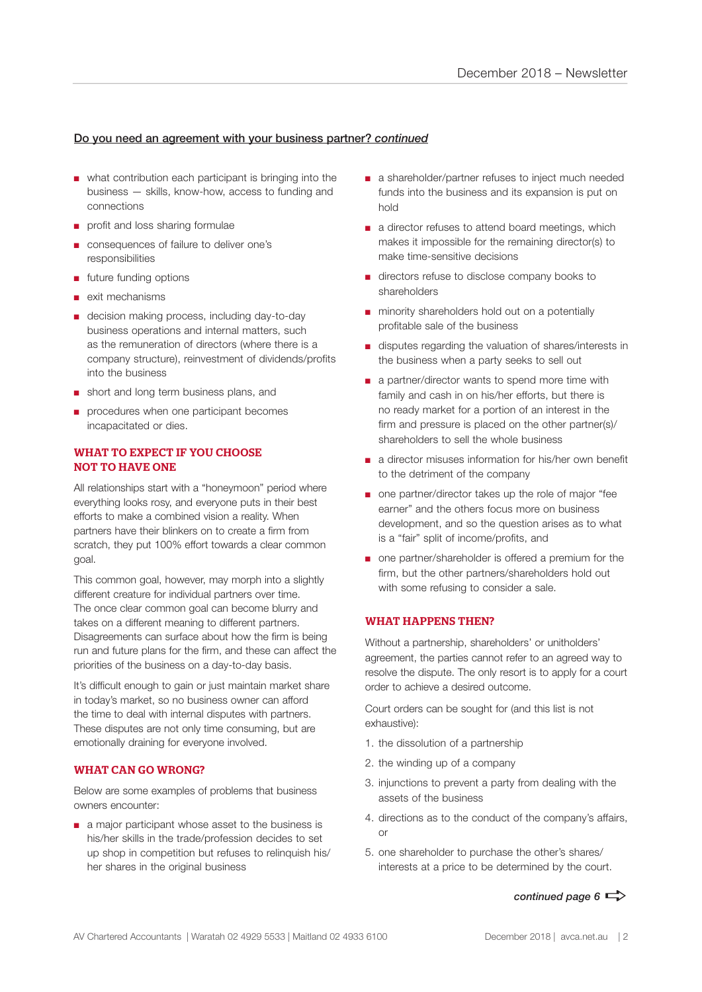# Do you need an agreement with your business partner? *continued*

- what contribution each participant is bringing into the business — skills, know-how, access to funding and connections
- profit and loss sharing formulae
- consequences of failure to deliver one's responsibilities
- future funding options
- exit mechanisms
- decision making process, including day-to-day business operations and internal matters, such as the remuneration of directors (where there is a company structure), reinvestment of dividends/profits into the business
- short and long term business plans, and
- procedures when one participant becomes incapacitated or dies.

## WHAT TO EXPECT IF YOU CHOOSE NOT TO HAVE ONE

All relationships start with a "honeymoon" period where everything looks rosy, and everyone puts in their best efforts to make a combined vision a reality. When partners have their blinkers on to create a firm from scratch, they put 100% effort towards a clear common goal.

This common goal, however, may morph into a slightly different creature for individual partners over time. The once clear common goal can become blurry and takes on a different meaning to different partners. Disagreements can surface about how the firm is being run and future plans for the firm, and these can affect the priorities of the business on a day-to-day basis.

It's difficult enough to gain or just maintain market share in today's market, so no business owner can afford the time to deal with internal disputes with partners. These disputes are not only time consuming, but are emotionally draining for everyone involved.

#### WHAT CAN GO WRONG?

Below are some examples of problems that business owners encounter:

■ a major participant whose asset to the business is his/her skills in the trade/profession decides to set up shop in competition but refuses to relinquish his/ her shares in the original business

- a shareholder/partner refuses to inject much needed funds into the business and its expansion is put on hold
- a director refuses to attend board meetings, which makes it impossible for the remaining director(s) to make time-sensitive decisions
- directors refuse to disclose company books to shareholders
- minority shareholders hold out on a potentially profitable sale of the business
- disputes regarding the valuation of shares/interests in the business when a party seeks to sell out
- a partner/director wants to spend more time with family and cash in on his/her efforts, but there is no ready market for a portion of an interest in the firm and pressure is placed on the other partner(s)/ shareholders to sell the whole business
- a director misuses information for his/her own benefit to the detriment of the company
- one partner/director takes up the role of major "fee earner" and the others focus more on business development, and so the question arises as to what is a "fair" split of income/profits, and
- one partner/shareholder is offered a premium for the firm, but the other partners/shareholders hold out with some refusing to consider a sale.

#### WHAT HAPPENS THEN?

Without a partnership, shareholders' or unitholders' agreement, the parties cannot refer to an agreed way to resolve the dispute. The only resort is to apply for a court order to achieve a desired outcome.

Court orders can be sought for (and this list is not exhaustive):

- 1. the dissolution of a partnership
- 2. the winding up of a company
- 3. injunctions to prevent a party from dealing with the assets of the business
- 4. directions as to the conduct of the company's affairs, or
- 5. one shareholder to purchase the other's shares/ interests at a price to be determined by the court.

# *continued page 6*  $\Rightarrow$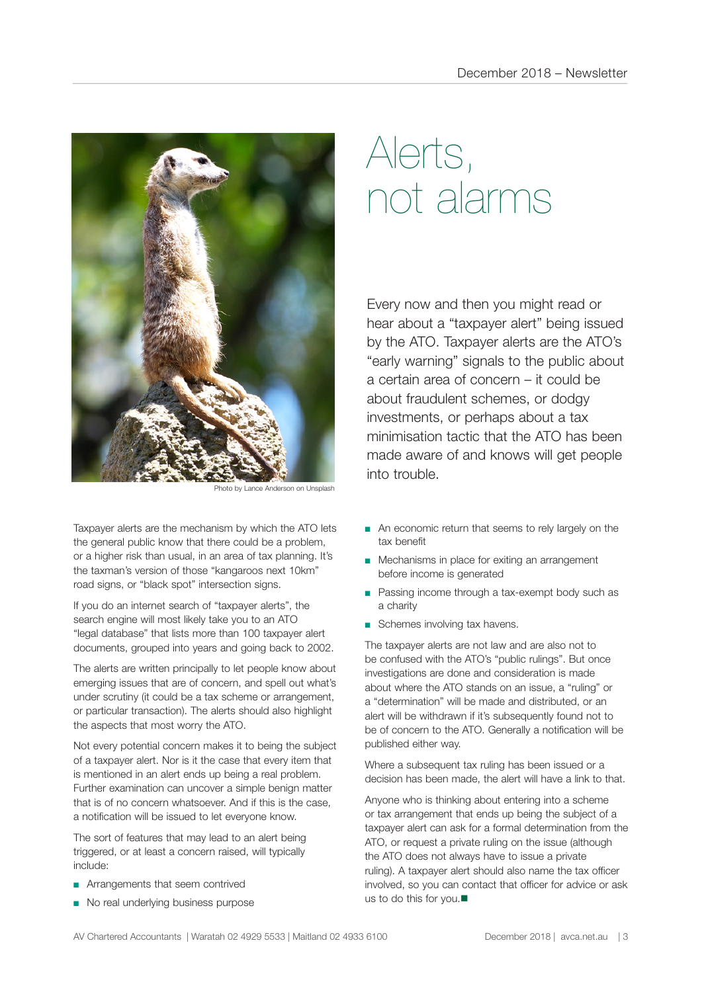

noto by Lance Anderson on Unsplach

Taxpayer alerts are the mechanism by which the ATO lets the general public know that there could be a problem, or a higher risk than usual, in an area of tax planning. It's the taxman's version of those "kangaroos next 10km" road signs, or "black spot" intersection signs.

If you do an internet search of "taxpayer alerts", the search engine will most likely take you to an ATO "legal database" that lists more than 100 taxpayer alert documents, grouped into years and going back to 2002.

The alerts are written principally to let people know about emerging issues that are of concern, and spell out what's under scrutiny (it could be a tax scheme or arrangement, or particular transaction). The alerts should also highlight the aspects that most worry the ATO.

Not every potential concern makes it to being the subject of a taxpayer alert. Nor is it the case that every item that is mentioned in an alert ends up being a real problem. Further examination can uncover a simple benign matter that is of no concern whatsoever. And if this is the case, a notification will be issued to let everyone know.

The sort of features that may lead to an alert being triggered, or at least a concern raised, will typically include:

- Arrangements that seem contrived
- No real underlying business purpose

# Alerts, not alarms

Every now and then you might read or hear about a "taxpayer alert" being issued by the ATO. Taxpayer alerts are the ATO's "early warning" signals to the public about a certain area of concern – it could be about fraudulent schemes, or dodgy investments, or perhaps about a tax minimisation tactic that the ATO has been made aware of and knows will get people into trouble.

- An economic return that seems to rely largely on the tax benefit
- Mechanisms in place for exiting an arrangement before income is generated
- Passing income through a tax-exempt body such as a charity
- Schemes involving tax havens.

The taxpayer alerts are not law and are also not to be confused with the ATO's "public rulings". But once investigations are done and consideration is made about where the ATO stands on an issue, a "ruling" or a "determination" will be made and distributed, or an alert will be withdrawn if it's subsequently found not to be of concern to the ATO. Generally a notification will be published either way.

Where a subsequent tax ruling has been issued or a decision has been made, the alert will have a link to that.

Anyone who is thinking about entering into a scheme or tax arrangement that ends up being the subject of a taxpayer alert can ask for a formal determination from the ATO, or request a private ruling on the issue (although the ATO does not always have to issue a private ruling). A taxpayer alert should also name the tax officer involved, so you can contact that officer for advice or ask us to do this for you. $\blacksquare$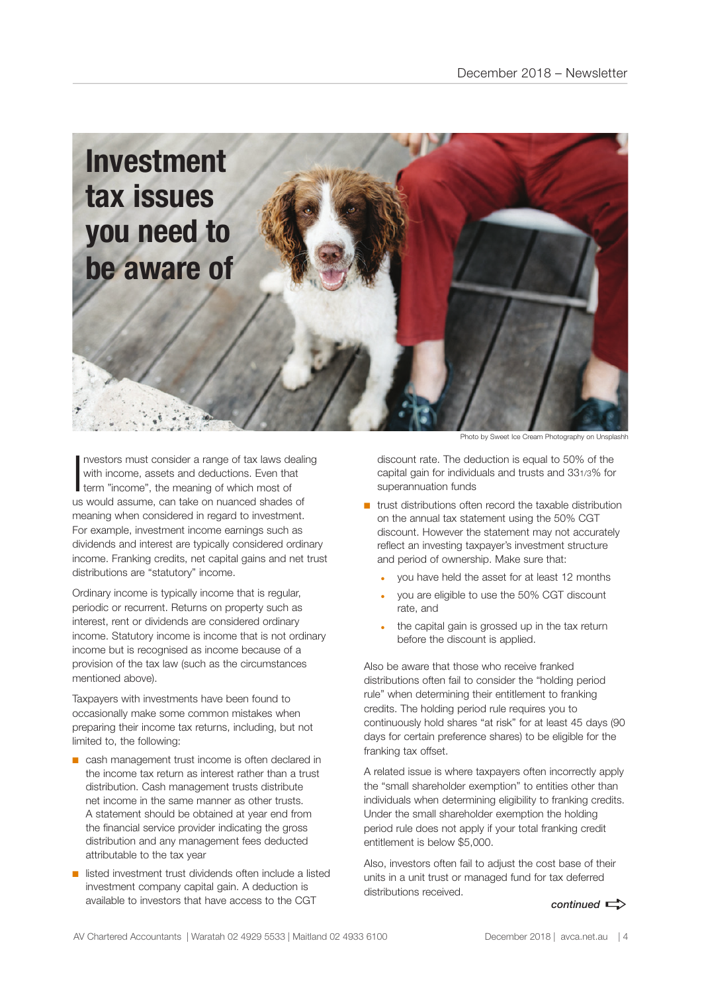

Investors must consider a range of tax laws de<br>with income, assets and deductions. Even the<br>term "income", the meaning of which most of nvestors must consider a range of tax laws dealing with income, assets and deductions. Even that us would assume, can take on nuanced shades of meaning when considered in regard to investment. For example, investment income earnings such as dividends and interest are typically considered ordinary income. Franking credits, net capital gains and net trust distributions are "statutory" income.

Ordinary income is typically income that is regular, periodic or recurrent. Returns on property such as interest, rent or dividends are considered ordinary income. Statutory income is income that is not ordinary income but is recognised as income because of a provision of the tax law (such as the circumstances mentioned above).

Taxpayers with investments have been found to occasionally make some common mistakes when preparing their income tax returns, including, but not limited to, the following:

- cash management trust income is often declared in the income tax return as interest rather than a trust distribution. Cash management trusts distribute net income in the same manner as other trusts. A statement should be obtained at year end from the financial service provider indicating the gross distribution and any management fees deducted attributable to the tax year
- listed investment trust dividends often include a listed investment company capital gain. A deduction is available to investors that have access to the CGT

Photo by Sweet Ice Cream Photography on Unsplashh

discount rate. The deduction is equal to 50% of the capital gain for individuals and trusts and 331/3% for superannuation funds

- $\blacksquare$  trust distributions often record the taxable distribution on the annual tax statement using the 50% CGT discount. However the statement may not accurately reflect an investing taxpayer's investment structure and period of ownership. Make sure that:
	- you have held the asset for at least 12 months
	- you are eligible to use the 50% CGT discount rate, and
	- the capital gain is grossed up in the tax return before the discount is applied.

Also be aware that those who receive franked distributions often fail to consider the "holding period rule" when determining their entitlement to franking credits. The holding period rule requires you to continuously hold shares "at risk" for at least 45 days (90 days for certain preference shares) to be eligible for the franking tax offset.

A related issue is where taxpayers often incorrectly apply the "small shareholder exemption" to entities other than individuals when determining eligibility to franking credits. Under the small shareholder exemption the holding period rule does not apply if your total franking credit entitlement is below \$5,000.

Also, investors often fail to adjust the cost base of their units in a unit trust or managed fund for tax deferred distributions received.

 $control \implies$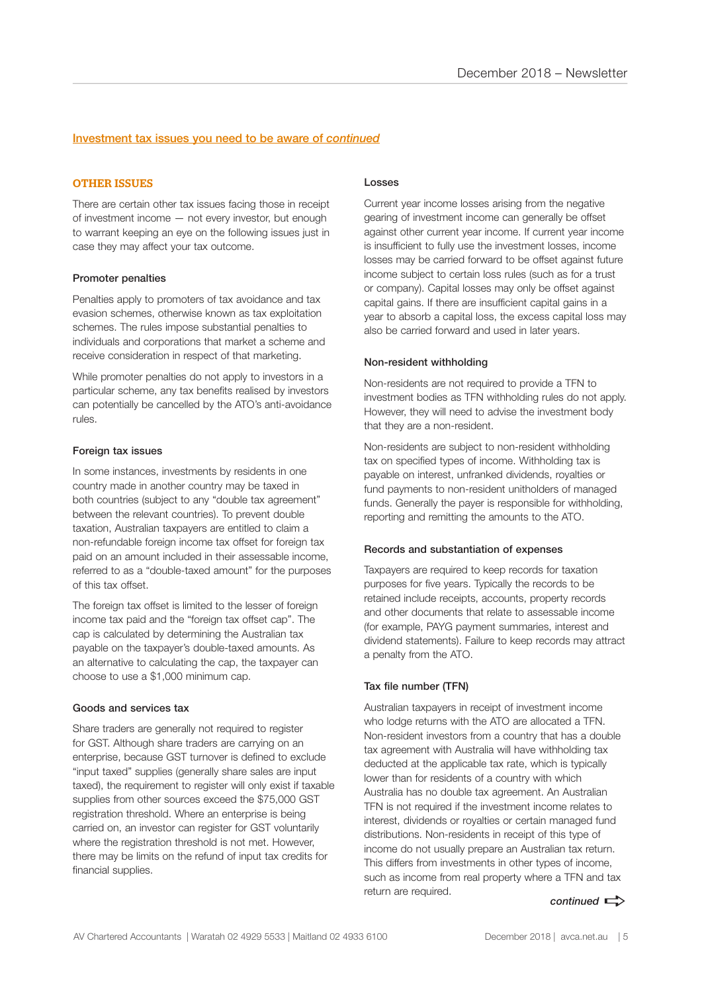### Investment tax issues you need to be aware of *continued*

#### OTHER ISSUES

There are certain other tax issues facing those in receipt of investment income — not every investor, but enough to warrant keeping an eye on the following issues just in case they may affect your tax outcome.

#### Promoter penalties

Penalties apply to promoters of tax avoidance and tax evasion schemes, otherwise known as tax exploitation schemes. The rules impose substantial penalties to individuals and corporations that market a scheme and receive consideration in respect of that marketing.

While promoter penalties do not apply to investors in a particular scheme, any tax benefits realised by investors can potentially be cancelled by the ATO's anti-avoidance rules.

#### Foreign tax issues

In some instances, investments by residents in one country made in another country may be taxed in both countries (subject to any "double tax agreement" between the relevant countries). To prevent double taxation, Australian taxpayers are entitled to claim a non-refundable foreign income tax offset for foreign tax paid on an amount included in their assessable income, referred to as a "double-taxed amount" for the purposes of this tax offset.

The foreign tax offset is limited to the lesser of foreign income tax paid and the "foreign tax offset cap". The cap is calculated by determining the Australian tax payable on the taxpayer's double-taxed amounts. As an alternative to calculating the cap, the taxpayer can choose to use a \$1,000 minimum cap.

#### Goods and services tax

Share traders are generally not required to register for GST. Although share traders are carrying on an enterprise, because GST turnover is defined to exclude "input taxed" supplies (generally share sales are input taxed), the requirement to register will only exist if taxable supplies from other sources exceed the \$75,000 GST registration threshold. Where an enterprise is being carried on, an investor can register for GST voluntarily where the registration threshold is not met. However, there may be limits on the refund of input tax credits for financial supplies.

#### Losses

Current year income losses arising from the negative gearing of investment income can generally be offset against other current year income. If current year income is insufficient to fully use the investment losses, income losses may be carried forward to be offset against future income subject to certain loss rules (such as for a trust or company). Capital losses may only be offset against capital gains. If there are insufficient capital gains in a year to absorb a capital loss, the excess capital loss may also be carried forward and used in later years.

#### Non-resident withholding

Non-residents are not required to provide a TFN to investment bodies as TFN withholding rules do not apply. However, they will need to advise the investment body that they are a non-resident.

Non-residents are subject to non-resident withholding tax on specified types of income. Withholding tax is payable on interest, unfranked dividends, royalties or fund payments to non-resident unitholders of managed funds. Generally the payer is responsible for withholding, reporting and remitting the amounts to the ATO.

#### Records and substantiation of expenses

Taxpayers are required to keep records for taxation purposes for five years. Typically the records to be retained include receipts, accounts, property records and other documents that relate to assessable income (for example, PAYG payment summaries, interest and dividend statements). Failure to keep records may attract a penalty from the ATO.

#### Tax file number (TFN)

Australian taxpayers in receipt of investment income who lodge returns with the ATO are allocated a TFN. Non-resident investors from a country that has a double tax agreement with Australia will have withholding tax deducted at the applicable tax rate, which is typically lower than for residents of a country with which Australia has no double tax agreement. An Australian TFN is not required if the investment income relates to interest, dividends or royalties or certain managed fund distributions. Non-residents in receipt of this type of income do not usually prepare an Australian tax return. This differs from investments in other types of income, such as income from real property where a TFN and tax return are required.

continued  $\Rightarrow$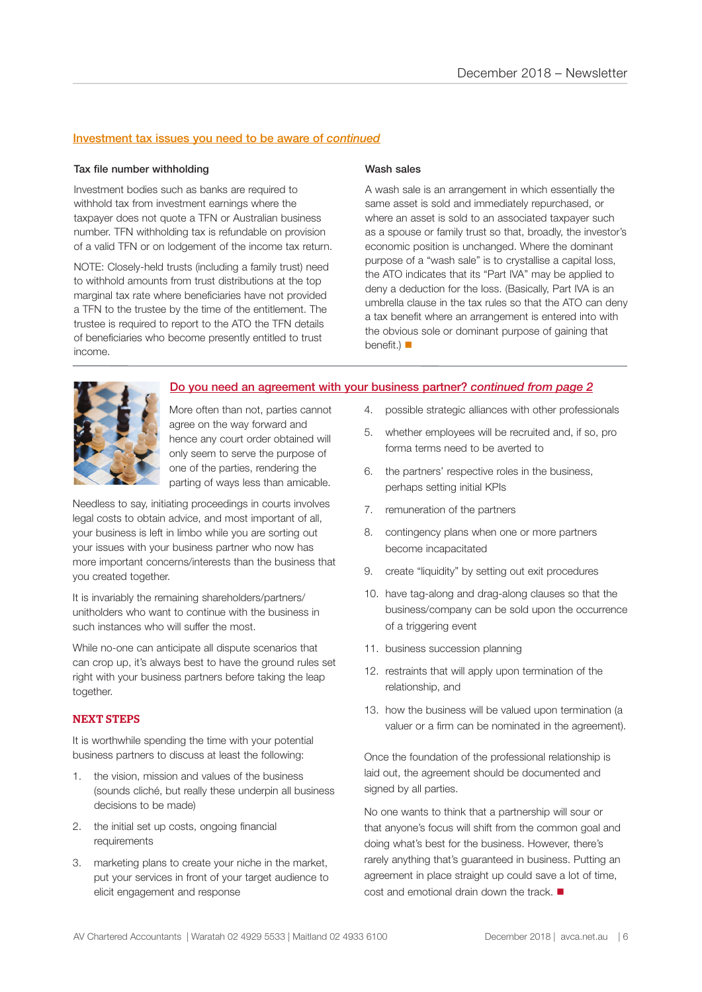### Investment tax issues you need to be aware of *continued*

#### Tax file number withholding

Investment bodies such as banks are required to withhold tax from investment earnings where the taxpayer does not quote a TFN or Australian business number. TFN withholding tax is refundable on provision of a valid TFN or on lodgement of the income tax return.

NOTE: Closely-held trusts (including a family trust) need to withhold amounts from trust distributions at the top marginal tax rate where beneficiaries have not provided a TFN to the trustee by the time of the entitlement. The trustee is required to report to the ATO the TFN details of beneficiaries who become presently entitled to trust income.

#### Wash sales

A wash sale is an arrangement in which essentially the same asset is sold and immediately repurchased, or where an asset is sold to an associated taxpayer such as a spouse or family trust so that, broadly, the investor's economic position is unchanged. Where the dominant purpose of a "wash sale" is to crystallise a capital loss, the ATO indicates that its "Part IVA" may be applied to deny a deduction for the loss. (Basically, Part IVA is an umbrella clause in the tax rules so that the ATO can deny a tax benefit where an arrangement is entered into with the obvious sole or dominant purpose of gaining that benefit.)  $\blacksquare$ 



Do you need an agreement with your business partner? *continued from page 2*

More often than not, parties cannot agree on the way forward and hence any court order obtained will only seem to serve the purpose of one of the parties, rendering the parting of ways less than amicable.

Needless to say, initiating proceedings in courts involves legal costs to obtain advice, and most important of all, your business is left in limbo while you are sorting out your issues with your business partner who now has more important concerns/interests than the business that you created together.

It is invariably the remaining shareholders/partners/ unitholders who want to continue with the business in such instances who will suffer the most.

While no-one can anticipate all dispute scenarios that can crop up, it's always best to have the ground rules set right with your business partners before taking the leap together.

#### NEXT STEPS

It is worthwhile spending the time with your potential business partners to discuss at least the following:

- 1. the vision, mission and values of the business (sounds cliché, but really these underpin all business decisions to be made)
- 2. the initial set up costs, ongoing financial requirements
- 3. marketing plans to create your niche in the market, put your services in front of your target audience to elicit engagement and response
- 4. possible strategic alliances with other professionals
- 5. whether employees will be recruited and, if so, pro forma terms need to be averted to
- 6. the partners' respective roles in the business, perhaps setting initial KPIs
- 7. remuneration of the partners
- 8. contingency plans when one or more partners become incapacitated
- 9. create "liquidity" by setting out exit procedures
- 10. have tag-along and drag-along clauses so that the business/company can be sold upon the occurrence of a triggering event
- 11. business succession planning
- 12. restraints that will apply upon termination of the relationship, and
- 13. how the business will be valued upon termination (a valuer or a firm can be nominated in the agreement).

Once the foundation of the professional relationship is laid out, the agreement should be documented and signed by all parties.

No one wants to think that a partnership will sour or that anyone's focus will shift from the common goal and doing what's best for the business. However, there's rarely anything that's guaranteed in business. Putting an agreement in place straight up could save a lot of time, cost and emotional drain down the track.  $\blacksquare$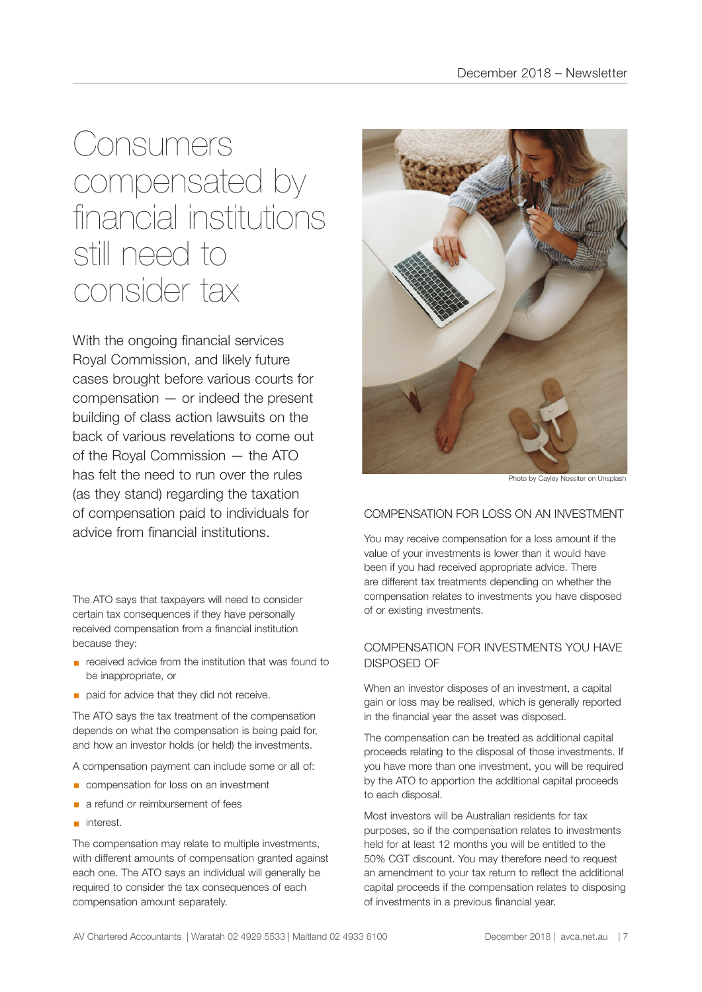# **Consumers** compensated by financial institutions still need to consider tax

With the ongoing financial services Royal Commission, and likely future cases brought before various courts for compensation — or indeed the present building of class action lawsuits on the back of various revelations to come out of the Royal Commission — the ATO has felt the need to run over the rules (as they stand) regarding the taxation of compensation paid to individuals for advice from financial institutions.

The ATO says that taxpayers will need to consider certain tax consequences if they have personally received compensation from a financial institution because they:

- received advice from the institution that was found to be inappropriate, or
- **•** paid for advice that they did not receive.

The ATO says the tax treatment of the compensation depends on what the compensation is being paid for, and how an investor holds (or held) the investments.

A compensation payment can include some or all of:

- compensation for loss on an investment
- a refund or reimbursement of fees
- interest.

The compensation may relate to multiple investments, with different amounts of compensation granted against each one. The ATO says an individual will generally be required to consider the tax consequences of each compensation amount separately.



Photo by Cayley Nossiter on Unsplash

# COMPENSATION FOR LOSS ON AN INVESTMENT

You may receive compensation for a loss amount if the value of your investments is lower than it would have been if you had received appropriate advice. There are different tax treatments depending on whether the compensation relates to investments you have disposed of or existing investments.

# COMPENSATION FOR INVESTMENTS YOU HAVE DISPOSED OF

When an investor disposes of an investment, a capital gain or loss may be realised, which is generally reported in the financial year the asset was disposed.

The compensation can be treated as additional capital proceeds relating to the disposal of those investments. If you have more than one investment, you will be required by the ATO to apportion the additional capital proceeds to each disposal.

Most investors will be Australian residents for tax purposes, so if the compensation relates to investments held for at least 12 months you will be entitled to the 50% CGT discount. You may therefore need to request an amendment to your tax return to reflect the additional capital proceeds if the compensation relates to disposing of investments in a previous financial year.